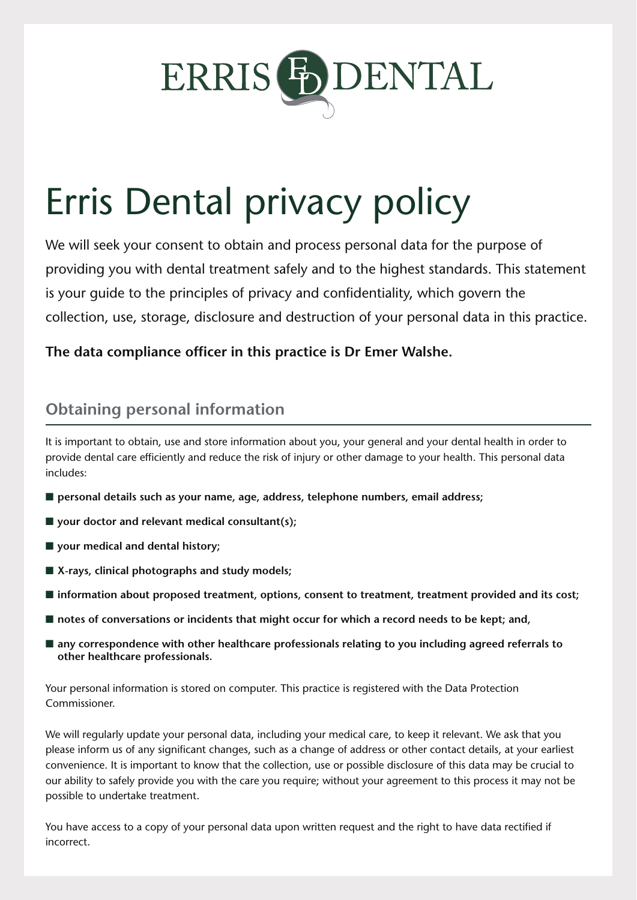

# Erris Dental privacy policy

We will seek your consent to obtain and process personal data for the purpose of providing you with dental treatment safely and to the highest standards. This statement is your guide to the principles of privacy and confidentiality, which govern the collection, use, storage, disclosure and destruction of your personal data in this practice.

**The data compliance officer in this practice is Dr Emer Walshe.**

## **Obtaining personal information**

It is important to obtain, use and store information about you, your general and your dental health in order to provide dental care efficiently and reduce the risk of injury or other damage to your health. This personal data includes:

- personal details such as your name, age, address, telephone numbers, email address;
- **your doctor and relevant medical consultant(s)**;
- your medical and dental history;
- **X-rays, clinical photographs and study models;**
- information about proposed treatment, options, consent to treatment, treatment provided and its cost;
- notes of conversations or incidents that might occur for which a record needs to be kept; and,
- any correspondence with other healthcare professionals relating to you including agreed referrals to **other healthcare professionals.**

Your personal information is stored on computer. This practice is registered with the Data Protection Commissioner.

We will regularly update your personal data, including your medical care, to keep it relevant. We ask that you please inform us of any significant changes, such as a change of address or other contact details, at your earliest convenience. It is important to know that the collection, use or possible disclosure of this data may be crucial to our ability to safely provide you with the care you require; without your agreement to this process it may not be possible to undertake treatment.

You have access to a copy of your personal data upon written request and the right to have data rectified if incorrect.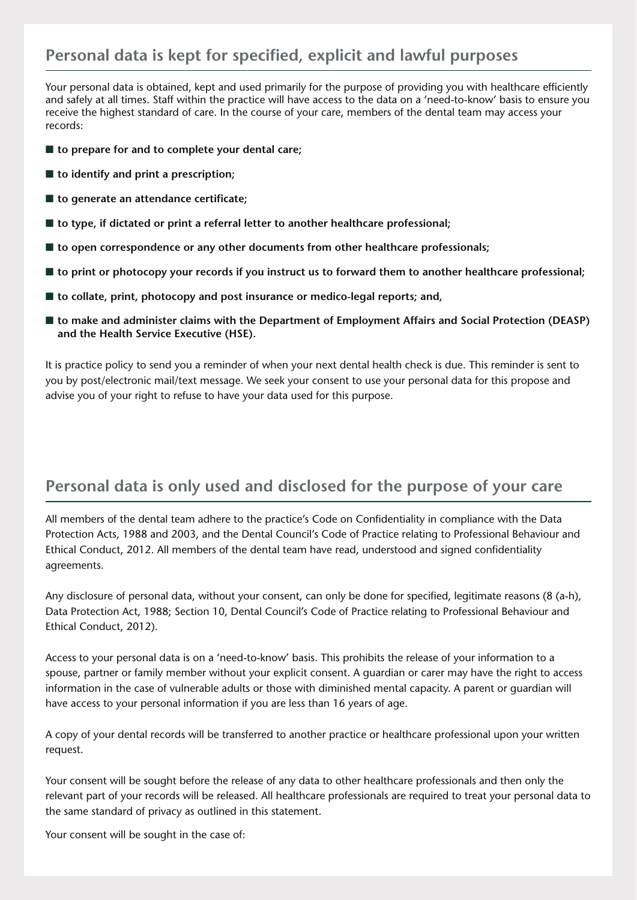## **Personal data is kept for specified, explicit and lawful purposes**

Your personal data is obtained, kept and used primarily for the purpose of providing you with healthcare efficiently and safely at all times. Staff within the practice will have access to the data on a 'need-to-know' basis to ensure you receive the highest standard of care. In the course of your care, members of the dental team may access your records:

- **to prepare for and to complete your dental care;**
- **to identify and print a prescription**;
- **to generate an attendance certificate;**
- **to type, if dictated or print a referral letter to another healthcare professional;**
- **to open correspondence or any other documents from other healthcare professionals;**
- **to print or photocopy your records if you instruct us to forward them to another healthcare professional;**
- **to collate, print, photocopy and post insurance or medico-legal reports; and,**
- **to make and administer claims with the Department of Employment Affairs and Social Protection (DEASP) and the Health Service Executive (HSE).**

It is practice policy to send you a reminder of when your next dental health check is due. This reminder is sent to you by post/electronic mail/text message. We seek your consent to use your personal data for this propose and advise you of your right to refuse to have your data used for this purpose.

#### **Personal data is only used and disclosed for the purpose of your care**

All members of the dental team adhere to the practice's Code on Confidentiality in compliance with the Data Protection Acts, 1988 and 2003, and the Dental Council's Code of Practice relating to Professional Behaviour and Ethical Conduct, 2012. All members of the dental team have read, understood and signed confidentiality agreements.

Any disclosure of personal data, without your consent, can only be done for specified, legitimate reasons (8 (a-h), Data Protection Act, 1988; Section 10, Dental Council's Code of Practice relating to Professional Behaviour and Ethical Conduct, 2012).

Access to your personal data is on a 'need-to-know' basis. This prohibits the release of your information to a spouse, partner or family member without your explicit consent. A guardian or carer may have the right to access information in the case of vulnerable adults or those with diminished mental capacity. A parent or guardian will have access to your personal information if you are less than 16 years of age.

A copy of your dental records will be transferred to another practice or healthcare professional upon your written request.

Your consent will be sought before the release of any data to other healthcare professionals and then only the relevant part of your records will be released. All healthcare professionals are required to treat your personal data to the same standard of privacy as outlined in this statement.

Your consent will be sought in the case of: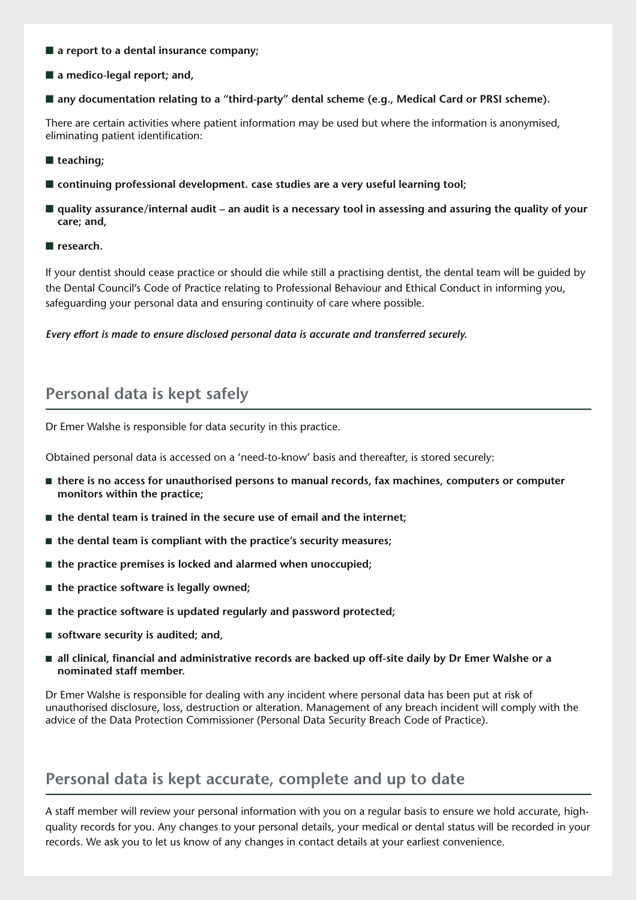- **a report to a dental insurance company**;
- **a** medico-legal report; and,
- any documentation relating to a "third-party" dental scheme (e.g., Medical Card or PRSI scheme).

There are certain activities where patient information may be used but where the information is anonymised, eliminating patient identification:

- teaching:
- continuing professional development. case studies are a very useful learning tool;
- quality assurance/internal audit an audit is a necessary tool in assessing and assuring the quality of your **care; and,**
- **research.**

If your dentist should cease practice or should die while still a practising dentist, the dental team will be guided by the Dental Council's Code of Practice relating to Professional Behaviour and Ethical Conduct in informing you, safeguarding your personal data and ensuring continuity of care where possible.

*Every effort is made to ensure disclosed personal data is accurate and transferred securely.*

#### **Personal data is kept safely**

Dr Emer Walshe is responsible for data security in this practice.

Obtained personal data is accessed on a 'need-to-know' basis and thereafter, is stored securely:

- **there is no access for unauthorised persons to manual records, fax machines, computers or computer monitors within the practice;**
- **the dental team is trained in the secure use of email and the internet;**
- **the dental team is compliant with the practice's security measures;**
- **the practice premises is locked and alarmed when unoccupied;**
- **the practice software is legally owned**;
- **the practice software is updated regularly and password protected;**
- **software security is audited; and,**
- **all clinical, financial and administrative records are backed up off-site daily by Dr Emer Walshe or a nominated staff member.**

Dr Emer Walshe is responsible for dealing with any incident where personal data has been put at risk of unauthorised disclosure, loss, destruction or alteration. Management of any breach incident will comply with the advice of the Data Protection Commissioner (Personal Data Security Breach Code of Practice).

#### **Personal data is kept accurate, complete and up to date**

A staff member will review your personal information with you on a regular basis to ensure we hold accurate, highquality records for you. Any changes to your personal details, your medical or dental status will be recorded in your records. We ask you to let us know of any changes in contact details at your earliest convenience.